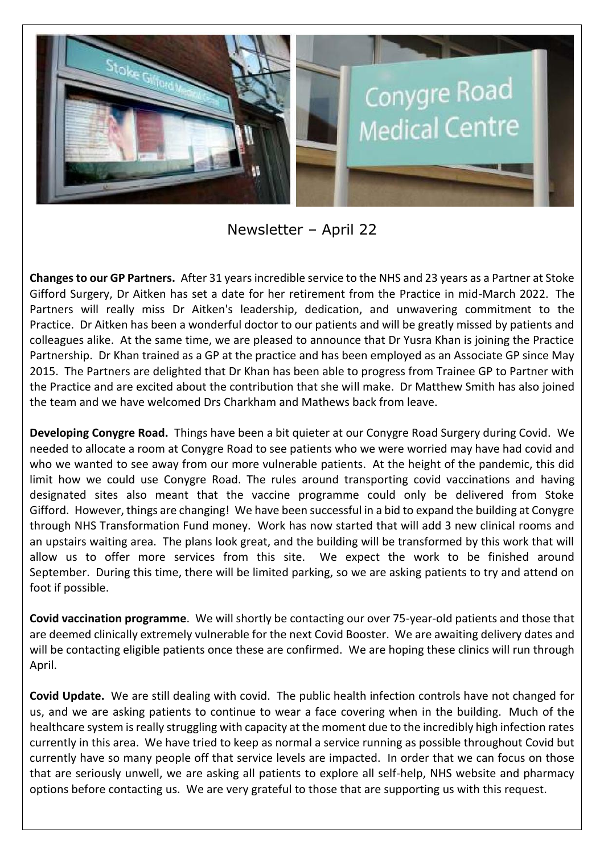

Newsletter – April 22

**Changes to our GP Partners.** After 31 years incredible service to the NHS and 23 years as a Partner at Stoke Gifford Surgery, Dr Aitken has set a date for her retirement from the Practice in mid-March 2022. The Partners will really miss Dr Aitken's leadership, dedication, and unwavering commitment to the Practice. Dr Aitken has been a wonderful doctor to our patients and will be greatly missed by patients and colleagues alike. At the same time, we are pleased to announce that Dr Yusra Khan is joining the Practice Partnership. Dr Khan trained as a GP at the practice and has been employed as an Associate GP since May 2015. The Partners are delighted that Dr Khan has been able to progress from Trainee GP to Partner with the Practice and are excited about the contribution that she will make. Dr Matthew Smith has also joined the team and we have welcomed Drs Charkham and Mathews back from leave.

**Developing Conygre Road.** Things have been a bit quieter at our Conygre Road Surgery during Covid. We needed to allocate a room at Conygre Road to see patients who we were worried may have had covid and who we wanted to see away from our more vulnerable patients. At the height of the pandemic, this did limit how we could use Conygre Road. The rules around transporting covid vaccinations and having designated sites also meant that the vaccine programme could only be delivered from Stoke Gifford. However, things are changing! We have been successful in a bid to expand the building at Conygre through NHS Transformation Fund money. Work has now started that will add 3 new clinical rooms and an upstairs waiting area. The plans look great, and the building will be transformed by this work that will allow us to offer more services from this site. We expect the work to be finished around September. During this time, there will be limited parking, so we are asking patients to try and attend on foot if possible.

**Covid vaccination programme**. We will shortly be contacting our over 75-year-old patients and those that are deemed clinically extremely vulnerable for the next Covid Booster. We are awaiting delivery dates and will be contacting eligible patients once these are confirmed. We are hoping these clinics will run through April.

**Covid Update.** We are still dealing with covid. The public health infection controls have not changed for us, and we are asking patients to continue to wear a face covering when in the building. Much of the healthcare system is really struggling with capacity at the moment due to the incredibly high infection rates currently in this area. We have tried to keep as normal a service running as possible throughout Covid but currently have so many people off that service levels are impacted. In order that we can focus on those that are seriously unwell, we are asking all patients to explore all self-help, NHS website and pharmacy options before contacting us. We are very grateful to those that are supporting us with this request.